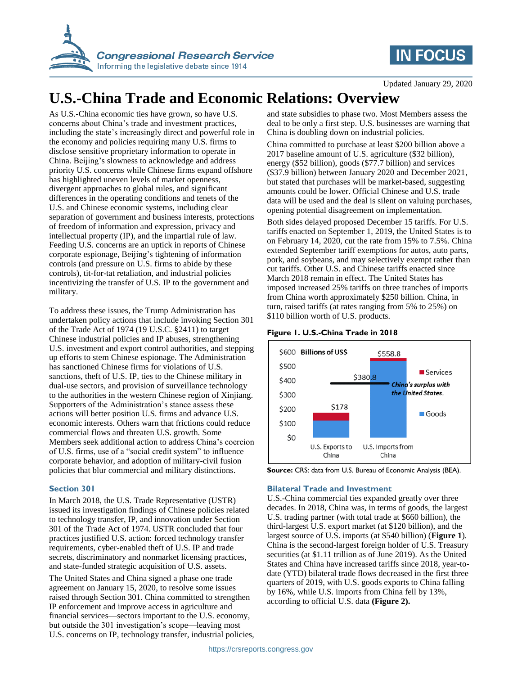

## **IN FOCUS**

Updated January 29, 2020

# **U.S.-China Trade and Economic Relations: Overview**

As U.S.-China economic ties have grown, so have U.S. concerns about China's trade and investment practices, including the state's increasingly direct and powerful role in the economy and policies requiring many U.S. firms to disclose sensitive proprietary information to operate in China. Beijing's slowness to acknowledge and address priority U.S. concerns while Chinese firms expand offshore has highlighted uneven levels of market openness, divergent approaches to global rules, and significant differences in the operating conditions and tenets of the U.S. and Chinese economic systems, including clear separation of government and business interests, protections of freedom of information and expression, privacy and intellectual property (IP), and the impartial rule of law. Feeding U.S. concerns are an uptick in reports of Chinese corporate espionage, Beijing's tightening of information controls (and pressure on U.S. firms to abide by these controls), tit-for-tat retaliation, and industrial policies incentivizing the transfer of U.S. IP to the government and military.

To address these issues, the Trump Administration has undertaken policy actions that include invoking Section 301 of the Trade Act of 1974 (19 U.S.C. §2411) to target Chinese industrial policies and IP abuses, strengthening U.S. investment and export control authorities, and stepping up efforts to stem Chinese espionage. The Administration has sanctioned Chinese firms for violations of U.S. sanctions, theft of U.S. IP, ties to the Chinese military in dual-use sectors, and provision of surveillance technology to the authorities in the western Chinese region of Xinjiang. Supporters of the Administration's stance assess these actions will better position U.S. firms and advance U.S. economic interests. Others warn that frictions could reduce commercial flows and threaten U.S. growth. Some Members seek additional action to address China's coercion of U.S. firms, use of a "social credit system" to influence corporate behavior, and adoption of military-civil fusion policies that blur commercial and military distinctions.

#### **Section 301**

In March 2018, the U.S. Trade Representative (USTR) issued its investigation findings of Chinese policies related to technology transfer, IP, and innovation under Section 301 of the Trade Act of 1974. USTR concluded that four practices justified U.S. action: forced technology transfer requirements, cyber-enabled theft of U.S. IP and trade secrets, discriminatory and nonmarket licensing practices, and state-funded strategic acquisition of U.S. assets.

The United States and China signed a phase one trade agreement on January 15, 2020, to resolve some issues raised through Section 301. China committed to strengthen IP enforcement and improve access in agriculture and financial services—sectors important to the U.S. economy, but outside the 301 investigation's scope—leaving most U.S. concerns on IP, technology transfer, industrial policies, and state subsidies to phase two. Most Members assess the deal to be only a first step. U.S. businesses are warning that China is doubling down on industrial policies.

China committed to purchase at least \$200 billion above a 2017 baseline amount of U.S. agriculture (\$32 billion), energy (\$52 billion), goods (\$77.7 billion) and services (\$37.9 billion) between January 2020 and December 2021, but stated that purchases will be market-based, suggesting amounts could be lower. Official Chinese and U.S. trade data will be used and the deal is silent on valuing purchases, opening potential disagreement on implementation.

Both sides delayed proposed December 15 tariffs. For U.S. tariffs enacted on September 1, 2019, the United States is to on February 14, 2020, cut the rate from 15% to 7.5%. China extended September tariff exemptions for autos, auto parts, pork, and soybeans, and may selectively exempt rather than cut tariffs. Other U.S. and Chinese tariffs enacted since March 2018 remain in effect. The United States has imposed increased 25% tariffs on three tranches of imports from China worth approximately \$250 billion. China, in turn, raised tariffs (at rates ranging from 5% to 25%) on \$110 billion worth of U.S. products.

#### <span id="page-0-0"></span>**Figure 1. U.S.-China Trade in 2018**



**Source:** CRS: data from U.S. Bureau of Economic Analysis (BEA).

#### **Bilateral Trade and Investment**

U.S.-China commercial ties expanded greatly over three decades. In 2018, China was, in terms of goods, the largest U.S. trading partner (with total trade at \$660 billion), the third-largest U.S. export market (at \$120 billion), and the largest source of U.S. imports (at \$540 billion) (**[Figure 1](#page-0-0)**). China is the second-largest foreign holder of U.S. Treasury securities (at \$1.11 trillion as of June 2019). As the United States and China have increased tariffs since 2018, year-todate (YTD) bilateral trade flows decreased in the first three quarters of 2019, with U.S. goods exports to China falling by 16%, while U.S. imports from China fell by 13%, according to official U.S. data **[\(Figure 2\)](#page-1-0).**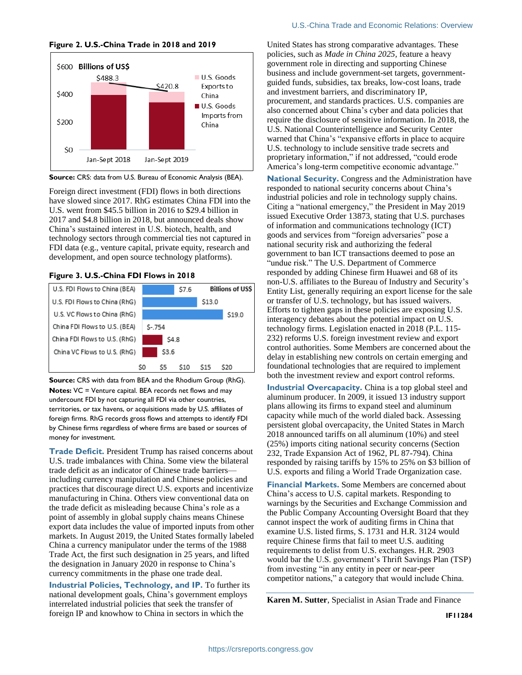<span id="page-1-0"></span>**Figure 2. U.S.-China Trade in 2018 and 2019**



**Source:** CRS: data from U.S. Bureau of Economic Analysis (BEA).

Foreign direct investment (FDI) flows in both directions have slowed since 2017. RhG estimates China FDI into the U.S. went from \$45.5 billion in 2016 to \$29.4 billion in 2017 and \$4.8 billion in 2018, but announced deals show China's sustained interest in U.S. biotech, health, and technology sectors through commercial ties not captured in FDI data (e.g., venture capital, private equity, research and development, and open source technology platforms).

#### **Figure 3. U.S.-China FDI Flows in 2018**



**Source:** CRS with data from BEA and the Rhodium Group (RhG). **Notes:** VC = Venture capital. BEA records net flows and may undercount FDI by not capturing all FDI via other countries, territories, or tax havens, or acquisitions made by U.S. affiliates of foreign firms. RhG records gross flows and attempts to identify FDI by Chinese firms regardless of where firms are based or sources of money for investment.

**Trade Deficit.** President Trump has raised concerns about U.S. trade imbalances with China. Some view the bilateral trade deficit as an indicator of Chinese trade barriers including currency manipulation and Chinese policies and practices that discourage direct U.S. exports and incentivize manufacturing in China. Others view conventional data on the trade deficit as misleading because China's role as a point of assembly in global supply chains means Chinese export data includes the value of imported inputs from other markets. In August 2019, the United States formally labeled China a currency manipulator under the terms of the 1988 Trade Act, the first such designation in 25 years, and lifted the designation in January 2020 in response to China's currency commitments in the phase one trade deal.

**Industrial Policies, Technology, and IP.** To further its national development goals, China's government employs interrelated industrial policies that seek the transfer of foreign IP and knowhow to China in sectors in which the

United States has strong comparative advantages. These policies, such as *Made in China 2025,* feature a heavy government role in directing and supporting Chinese business and include government-set targets, governmentguided funds, subsidies, tax breaks, low-cost loans, trade and investment barriers, and discriminatory IP, procurement, and standards practices. U.S. companies are also concerned about China's cyber and data policies that require the disclosure of sensitive information. In 2018, the U.S. National Counterintelligence and Security Center warned that China's "expansive efforts in place to acquire U.S. technology to include sensitive trade secrets and proprietary information," if not addressed, "could erode America's long-term competitive economic advantage."

**National Security.** Congress and the Administration have responded to national security concerns about China's industrial policies and role in technology supply chains. Citing a "national emergency," the President in May 2019 issued Executive Order 13873, stating that U.S. purchases of information and communications technology (ICT) goods and services from "foreign adversaries" pose a national security risk and authorizing the federal government to ban ICT transactions deemed to pose an "undue risk." The U.S. Department of Commerce responded by adding Chinese firm Huawei and 68 of its non-U.S. affiliates to the Bureau of Industry and Security's Entity List, generally requiring an export license for the sale or transfer of U.S. technology, but has issued waivers. Efforts to tighten gaps in these policies are exposing U.S. interagency debates about the potential impact on U.S. technology firms. Legislation enacted in 2018 (P.L. 115- 232) reforms U.S. foreign investment review and export control authorities. Some Members are concerned about the delay in establishing new controls on certain emerging and foundational technologies that are required to implement both the investment review and export control reforms.

**Industrial Overcapacity.** China is a top global steel and aluminum producer. In 2009, it issued 13 industry support plans allowing its firms to expand steel and aluminum capacity while much of the world dialed back. Assessing persistent global overcapacity, the United States in March 2018 announced tariffs on all aluminum (10%) and steel (25%) imports citing national security concerns (Section 232, Trade Expansion Act of 1962, PL 87-794). China responded by raising tariffs by 15% to 25% on \$3 billion of U.S. exports and filing a World Trade Organization case.

**Financial Markets.** Some Members are concerned about China's access to U.S. capital markets. Responding to warnings by the Securities and Exchange Commission and the Public Company Accounting Oversight Board that they cannot inspect the work of auditing firms in China that examine U.S. listed firms, S. 1731 and H.R. 3124 would require Chinese firms that fail to meet U.S. auditing requirements to delist from U.S. exchanges. H.R. 2903 would bar the U.S. government's Thrift Savings Plan (TSP) from investing "in any entity in peer or near-peer competitor nations," a category that would include China.

**Karen M. Sutter**, Specialist in Asian Trade and Finance